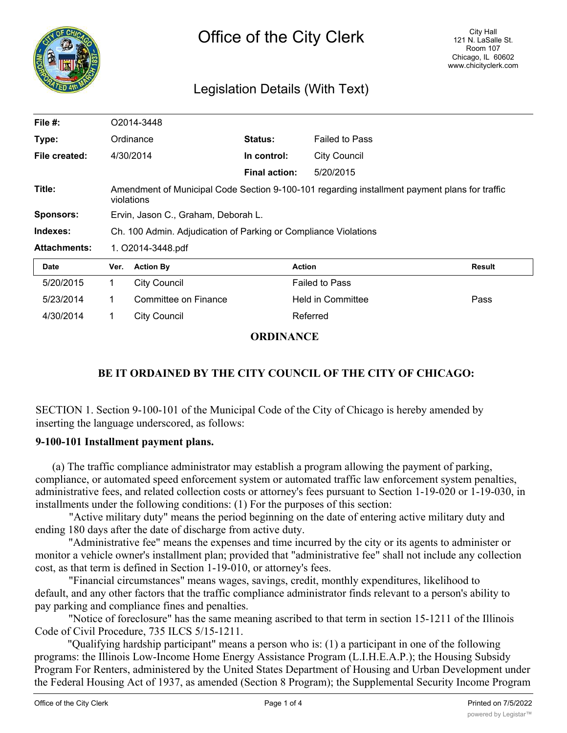

# Legislation Details (With Text)

| File $#$ :          | O2014-3448                                                                                                  |                      |                      |                       |        |
|---------------------|-------------------------------------------------------------------------------------------------------------|----------------------|----------------------|-----------------------|--------|
| Type:               | Ordinance                                                                                                   |                      | Status:              | <b>Failed to Pass</b> |        |
| File created:       | 4/30/2014                                                                                                   |                      | In control:          | <b>City Council</b>   |        |
|                     |                                                                                                             |                      | <b>Final action:</b> | 5/20/2015             |        |
| Title:              | Amendment of Municipal Code Section 9-100-101 regarding installment payment plans for traffic<br>violations |                      |                      |                       |        |
| <b>Sponsors:</b>    | Ervin, Jason C., Graham, Deborah L.                                                                         |                      |                      |                       |        |
| Indexes:            | Ch. 100 Admin. Adjudication of Parking or Compliance Violations                                             |                      |                      |                       |        |
| <b>Attachments:</b> | 1. O2014-3448.pdf                                                                                           |                      |                      |                       |        |
| <b>Date</b>         | Ver.                                                                                                        | <b>Action By</b>     |                      | <b>Action</b>         | Result |
| 5/20/2015           | 1.                                                                                                          | City Council         |                      | <b>Failed to Pass</b> |        |
| 5/23/2014           | 1                                                                                                           | Committee on Finance |                      | Held in Committee     | Pass   |
| 4/30/2014           | 1                                                                                                           | <b>City Council</b>  |                      | Referred              |        |

### **ORDINANCE**

## **BE IT ORDAINED BY THE CITY COUNCIL OF THE CITY OF CHICAGO:**

SECTION 1. Section 9-100-101 of the Municipal Code of the City of Chicago is hereby amended by inserting the language underscored, as follows:

#### **9-100-101 Installment payment plans.**

(a) The traffic compliance administrator may establish a program allowing the payment of parking, compliance, or automated speed enforcement system or automated traffic law enforcement system penalties, administrative fees, and related collection costs or attorney's fees pursuant to Section 1-19-020 or 1-19-030, in installments under the following conditions: (1) For the purposes of this section:

"Active military duty" means the period beginning on the date of entering active military duty and ending 180 days after the date of discharge from active duty.

"Administrative fee" means the expenses and time incurred by the city or its agents to administer or monitor a vehicle owner's installment plan; provided that "administrative fee" shall not include any collection cost, as that term is defined in Section 1-19-010, or attorney's fees.

"Financial circumstances" means wages, savings, credit, monthly expenditures, likelihood to default, and any other factors that the traffic compliance administrator finds relevant to a person's ability to pay parking and compliance fines and penalties.

"Notice of foreclosure" has the same meaning ascribed to that term in section 15-1211 of the Illinois Code of Civil Procedure, 735 ILCS 5/15-1211.

"Qualifying hardship participant" means a person who is: (1) a participant in one of the following programs: the Illinois Low-Income Home Energy Assistance Program (L.I.H.E.A.P.); the Housing Subsidy Program For Renters, administered by the United States Department of Housing and Urban Development under the Federal Housing Act of 1937, as amended (Section 8 Program); the Supplemental Security Income Program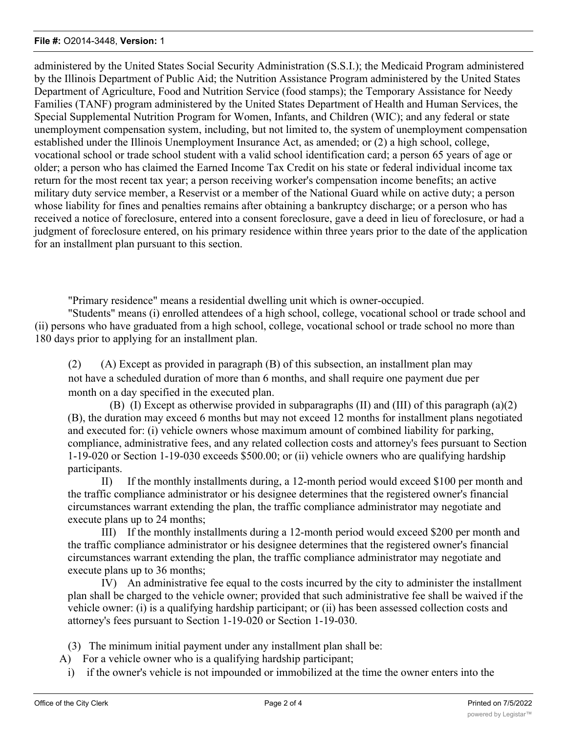#### **File #:** O2014-3448, **Version:** 1

administered by the United States Social Security Administration (S.S.I.); the Medicaid Program administered by the Illinois Department of Public Aid; the Nutrition Assistance Program administered by the United States Department of Agriculture, Food and Nutrition Service (food stamps); the Temporary Assistance for Needy Families (TANF) program administered by the United States Department of Health and Human Services, the Special Supplemental Nutrition Program for Women, Infants, and Children (WIC); and any federal or state unemployment compensation system, including, but not limited to, the system of unemployment compensation established under the Illinois Unemployment Insurance Act, as amended; or (2) a high school, college, vocational school or trade school student with a valid school identification card; a person 65 years of age or older; a person who has claimed the Earned Income Tax Credit on his state or federal individual income tax return for the most recent tax year; a person receiving worker's compensation income benefits; an active military duty service member, a Reservist or a member of the National Guard while on active duty; a person whose liability for fines and penalties remains after obtaining a bankruptcy discharge; or a person who has received a notice of foreclosure, entered into a consent foreclosure, gave a deed in lieu of foreclosure, or had a judgment of foreclosure entered, on his primary residence within three years prior to the date of the application for an installment plan pursuant to this section.

"Primary residence" means a residential dwelling unit which is owner-occupied.

"Students" means (i) enrolled attendees of a high school, college, vocational school or trade school and (ii) persons who have graduated from a high school, college, vocational school or trade school no more than 180 days prior to applying for an installment plan.

(2) (A) Except as provided in paragraph (B) of this subsection, an installment plan may not have a scheduled duration of more than 6 months, and shall require one payment due per month on a day specified in the executed plan.

(B) (I) Except as otherwise provided in subparagraphs (II) and (III) of this paragraph (a)(2) (B), the duration may exceed 6 months but may not exceed 12 months for installment plans negotiated and executed for: (i) vehicle owners whose maximum amount of combined liability for parking, compliance, administrative fees, and any related collection costs and attorney's fees pursuant to Section 1-19-020 or Section 1-19-030 exceeds \$500.00; or (ii) vehicle owners who are qualifying hardship participants.

II) If the monthly installments during, a 12-month period would exceed \$100 per month and the traffic compliance administrator or his designee determines that the registered owner's financial circumstances warrant extending the plan, the traffic compliance administrator may negotiate and execute plans up to 24 months;

III) If the monthly installments during a 12-month period would exceed \$200 per month and the traffic compliance administrator or his designee determines that the registered owner's financial circumstances warrant extending the plan, the traffic compliance administrator may negotiate and execute plans up to 36 months;

IV) An administrative fee equal to the costs incurred by the city to administer the installment plan shall be charged to the vehicle owner; provided that such administrative fee shall be waived if the vehicle owner: (i) is a qualifying hardship participant; or (ii) has been assessed collection costs and attorney's fees pursuant to Section 1-19-020 or Section 1-19-030.

(3) The minimum initial payment under any installment plan shall be:

- A) For a vehicle owner who is a qualifying hardship participant;
	- i) if the owner's vehicle is not impounded or immobilized at the time the owner enters into the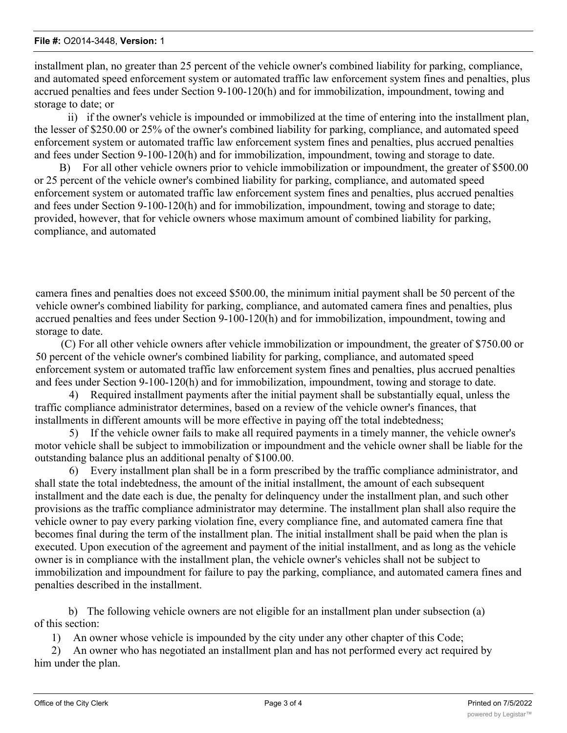installment plan, no greater than 25 percent of the vehicle owner's combined liability for parking, compliance, and automated speed enforcement system or automated traffic law enforcement system fines and penalties, plus accrued penalties and fees under Section 9-100-120(h) and for immobilization, impoundment, towing and storage to date; or

ii) if the owner's vehicle is impounded or immobilized at the time of entering into the installment plan, the lesser of \$250.00 or 25% of the owner's combined liability for parking, compliance, and automated speed enforcement system or automated traffic law enforcement system fines and penalties, plus accrued penalties and fees under Section 9-100-120(h) and for immobilization, impoundment, towing and storage to date.

B) For all other vehicle owners prior to vehicle immobilization or impoundment, the greater of \$500.00 or 25 percent of the vehicle owner's combined liability for parking, compliance, and automated speed enforcement system or automated traffic law enforcement system fines and penalties, plus accrued penalties and fees under Section 9-100-120(h) and for immobilization, impoundment, towing and storage to date; provided, however, that for vehicle owners whose maximum amount of combined liability for parking, compliance, and automated

camera fines and penalties does not exceed \$500.00, the minimum initial payment shall be 50 percent of the vehicle owner's combined liability for parking, compliance, and automated camera fines and penalties, plus accrued penalties and fees under Section 9-100-120(h) and for immobilization, impoundment, towing and storage to date.

(C) For all other vehicle owners after vehicle immobilization or impoundment, the greater of \$750.00 or 50 percent of the vehicle owner's combined liability for parking, compliance, and automated speed enforcement system or automated traffic law enforcement system fines and penalties, plus accrued penalties and fees under Section 9-100-120(h) and for immobilization, impoundment, towing and storage to date.

4) Required installment payments after the initial payment shall be substantially equal, unless the traffic compliance administrator determines, based on a review of the vehicle owner's finances, that installments in different amounts will be more effective in paying off the total indebtedness;

5) If the vehicle owner fails to make all required payments in a timely manner, the vehicle owner's motor vehicle shall be subject to immobilization or impoundment and the vehicle owner shall be liable for the outstanding balance plus an additional penalty of \$100.00.

6) Every installment plan shall be in a form prescribed by the traffic compliance administrator, and shall state the total indebtedness, the amount of the initial installment, the amount of each subsequent installment and the date each is due, the penalty for delinquency under the installment plan, and such other provisions as the traffic compliance administrator may determine. The installment plan shall also require the vehicle owner to pay every parking violation fine, every compliance fine, and automated camera fine that becomes final during the term of the installment plan. The initial installment shall be paid when the plan is executed. Upon execution of the agreement and payment of the initial installment, and as long as the vehicle owner is in compliance with the installment plan, the vehicle owner's vehicles shall not be subject to immobilization and impoundment for failure to pay the parking, compliance, and automated camera fines and penalties described in the installment.

b) The following vehicle owners are not eligible for an installment plan under subsection (a) of this section:

1) An owner whose vehicle is impounded by the city under any other chapter of this Code;

2) An owner who has negotiated an installment plan and has not performed every act required by him under the plan.